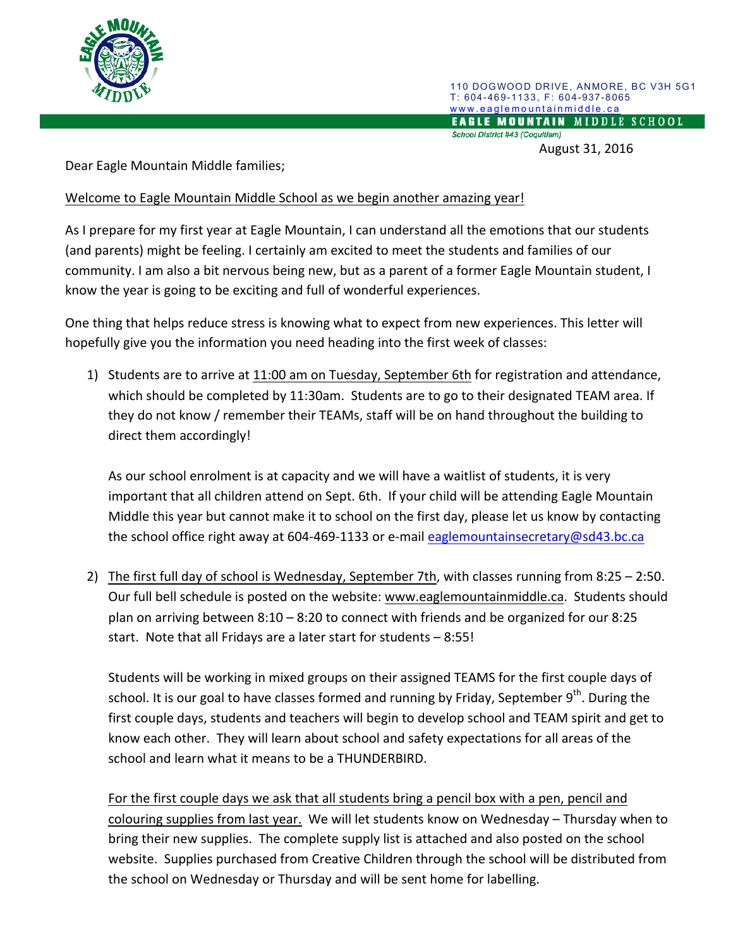

110 DOGWOOD DRIVE, ANMORE, BC V3H 5G1 T: 604-469-1133, F: 604-937-8065 www.eaglemountainmiddle.ca<br>EAGLE MOUNTAIN MIDDLE SCHOOL School District #43 (Coquitlam)

August 31, 2016

Dear Eagle Mountain Middle families;

Welcome to Eagle Mountain Middle School as we begin another amazing year!

As I prepare for my first year at Eagle Mountain, I can understand all the emotions that our students (and parents) might be feeling. I certainly am excited to meet the students and families of our community. I am also a bit nervous being new, but as a parent of a former Eagle Mountain student, I know the year is going to be exciting and full of wonderful experiences.

One thing that helps reduce stress is knowing what to expect from new experiences. This letter will hopefully give you the information you need heading into the first week of classes:

1) Students are to arrive at 11:00 am on Tuesday, September 6th for registration and attendance, which should be completed by 11:30am. Students are to go to their designated TEAM area. If they do not know / remember their TEAMs, staff will be on hand throughout the building to direct them accordingly!

As our school enrolment is at capacity and we will have a waitlist of students, it is very important that all children attend on Sept. 6th. If your child will be attending Eagle Mountain Middle this year but cannot make it to school on the first day, please let us know by contacting the school office right away at 604-469-1133 or e-mail eaglemountainsecretary@sd43.bc.ca

2) The first full day of school is Wednesday, September 7th, with classes running from  $8:25 - 2:50$ . Our full bell schedule is posted on the website: www.eaglemountainmiddle.ca. Students should plan on arriving between  $8:10 - 8:20$  to connect with friends and be organized for our  $8:25$ start. Note that all Fridays are a later start for students  $-8:55!$ 

Students will be working in mixed groups on their assigned TEAMS for the first couple days of school. It is our goal to have classes formed and running by Friday, September  $9<sup>th</sup>$ . During the first couple days, students and teachers will begin to develop school and TEAM spirit and get to know each other. They will learn about school and safety expectations for all areas of the school and learn what it means to be a THUNDERBIRD.

For the first couple days we ask that all students bring a pencil box with a pen, pencil and colouring supplies from last year. We will let students know on Wednesday – Thursday when to bring their new supplies. The complete supply list is attached and also posted on the school website. Supplies purchased from Creative Children through the school will be distributed from the school on Wednesday or Thursday and will be sent home for labelling.